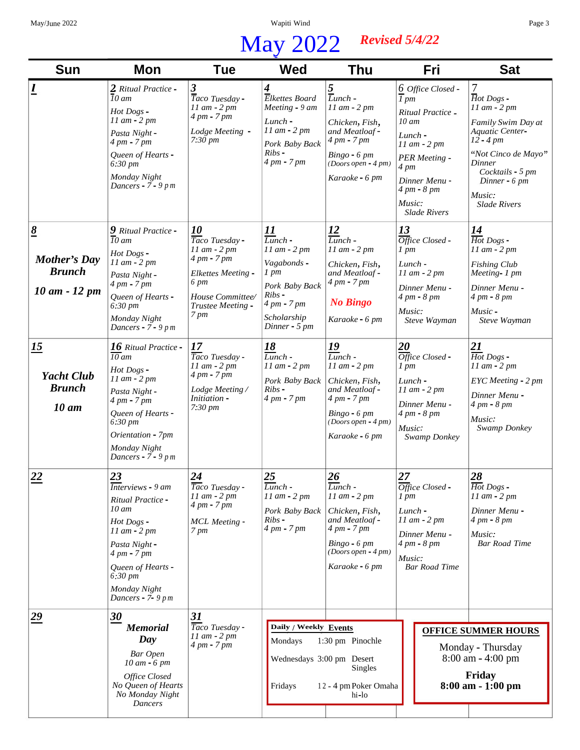## *Revised 5/4/22* May 2022

| <b>Sun</b>                                                                                                                                                     | Mon                                                                                                                                                                                                                                                                                                                                                              | <b>Tue</b>                                                                                                                                                                                                                                                    | <b>Wed</b>                                                                                                                                                                                                                                                    | Thu                                                                                                                                                                                                                                                                                                      | <b>Fri</b>                                                                                                                                                                                                                                                                                | <b>Sat</b>                                                                                                                                                                                                                                                                                           |
|----------------------------------------------------------------------------------------------------------------------------------------------------------------|------------------------------------------------------------------------------------------------------------------------------------------------------------------------------------------------------------------------------------------------------------------------------------------------------------------------------------------------------------------|---------------------------------------------------------------------------------------------------------------------------------------------------------------------------------------------------------------------------------------------------------------|---------------------------------------------------------------------------------------------------------------------------------------------------------------------------------------------------------------------------------------------------------------|----------------------------------------------------------------------------------------------------------------------------------------------------------------------------------------------------------------------------------------------------------------------------------------------------------|-------------------------------------------------------------------------------------------------------------------------------------------------------------------------------------------------------------------------------------------------------------------------------------------|------------------------------------------------------------------------------------------------------------------------------------------------------------------------------------------------------------------------------------------------------------------------------------------------------|
| $\overline{\mathbf{r}}$                                                                                                                                        | 2 Ritual Practice -<br>$10$ am<br>Hot Dogs -<br>$11$ am $-2$ pm<br>Pasta Night -<br>4 pm - 7 pm<br>Queen of Hearts -<br>$6:30 \; pm$<br>Monday Night<br>Dancers - $7 - 9$ pm                                                                                                                                                                                     | 3<br>Taco Tuesday -<br>$11$ am $-2$ pm<br>4 pm - 7 pm<br>Lodge Meeting -<br>7:30 pm                                                                                                                                                                           | $\overline{4}$<br>Elkettes Board<br>Meeting - 9 am<br>$Lunch -$<br>11 am - 2 pm<br>Pork Baby Back<br>Ribs<br>4 pm - 7 pm                                                                                                                                      | $\frac{5}{L}$ unch -<br>$11$ am $-2$ pm<br>Chicken, Fish,<br>and Meatloaf-<br>4 pm - 7 pm<br>$Bingo - 6 pm$<br>$(Doors open - 4 pm)$<br>Karaoke - 6 pm                                                                                                                                                   | $6$ Office Closed -<br>$\overline{I}$ pm<br>Ritual Practice -<br>$10 \text{ }$ am<br>$Lunch -$<br>$11$ am $-2$ pm<br><b>PER</b> Meeting -<br>$4 \, pm$<br>Dinner Menu -<br>4 pm - 8 pm<br>Music:<br><b>Slade Rivers</b>                                                                   | 7<br>$\overline{H}$ ot Dogs -<br>$11$ am $-2$ pm<br>Family Swim Day at<br>Aquatic Center-<br>$12 - 4 \, pm$<br>"Not Cinco de Mayo"<br>Dinner<br>Cocktails - 5 pm<br>Dinner - 6 pm<br>Music:<br><b>Slade Rivers</b>                                                                                   |
| $\underline{8}$<br>Mother's Day<br><b>Brunch</b><br>$10 \, \text{am} - 12 \, \text{pm}$<br><u>15</u><br><b>Yacht Club</b><br><b>Brunch</b><br>$10 \text{ }$ am | 9 Ritual Practice -<br>$\overline{10}$ am<br>Hot Dogs -<br>$11$ am $- 2$ pm<br>Pasta Night -<br>4 pm - 7 pm<br>Queen of Hearts -<br>$6:30 \, \text{pm}$<br>Monday Night<br>Dancers - $7 - 9$ pm<br>16 Ritual Practice -<br>$\overline{10}$ am<br>Hot Dogs -<br>11 am - 2 pm<br>Pasta Night -<br>4 pm - 7 pm<br>Queen of Hearts -<br>6:30 pm<br>Orientation - 7pm | 10<br>Taco Tuesday -<br>$11$ am $-2$ pm<br>4 pm - 7 pm<br><b>Elkettes Meeting -</b><br>6 pm<br>House Committee/<br>Trustee Meeting -<br>7 pm<br>17<br>Taco Tuesday -<br>11 am - 2 pm<br>$4 \, pm - 7 \, pm$<br>Lodge Meeting/<br>Initiation -<br>$7:30 \, pm$ | <u> 11</u><br>$\overline{Lunch}$ -<br>$11$ am $-2$ pm<br>Vagabonds -<br>$1 \, \text{pm}$<br>Pork Baby Back<br>Ribs<br>4 pm - 7 pm<br>Scholarship<br>Dinner - $5$ pm<br><u>18</u><br>$Lunch -$<br>$11$ am $-2$ pm<br>Pork Baby Back<br>$Ribs -$<br>4 pm - 7 pm | <u> 12</u><br>$Lunch -$<br>$11$ am $-2$ pm<br>Chicken, Fish,<br>and Meatloaf -<br>4 pm - 7 pm<br><b>No Bingo</b><br>Karaoke - 6 pm<br><u>19</u><br>$Lunch -$<br>$11$ am $- 2$ pm<br>Chicken, Fish,<br>and Meatloaf -<br>$4 \, pm - 7 \, pm$<br>$Bingo - 6 pm$<br>$(Doors open - 4 pm)$<br>Karaoke - 6 pm | 13<br>$\overline{Office}$ Closed -<br>$1 \, pm$<br>Lunch -<br>$11$ am $-2$ pm<br>Dinner Menu -<br>4 pm - 8 pm<br>Music:<br>Steve Wayman<br>20<br>$\overline{Office}$ Closed -<br>$1$ pm<br>$Lunch -$<br>$11$ am $-2$ pm<br>Dinner Menu -<br>$4 \, pm - 8 \, pm$<br>Music:<br>Swamp Donkey | <u>14</u><br>$\overline{Hot}$ Dogs -<br>$11$ am $- 2$ pm<br><b>Fishing Club</b><br>Meeting- 1 pm<br>Dinner Menu -<br>4 pm - 8 pm<br>$Music -$<br>Steve Wayman<br>$\frac{21}{Hot\,Dogs}$ -<br>$11$ am $-2$ pm<br>EYC Meeting - 2 pm<br>Dinner Menu -<br>$4 \, pm - 8 \, pm$<br>Music:<br>Swamp Donkey |
| 22                                                                                                                                                             | Monday Night<br>Dancers - $7 - 9$ pm<br>23<br>Interviews - 9 am<br>Ritual Practice -<br>10 am<br>Hot Dogs -<br>$11$ am $-$ 2 pm<br>Pasta Night -<br>4 pm - 7 pm<br>Queen of Hearts -<br>$6:30 \, \text{pm}$<br>Monday Night<br>Dancers - $7 - 9$ pm                                                                                                              | 24<br>Taco Tuesday -<br>$11$ am $-2$ pm<br>4 pm - 7 pm<br><b>MCL</b> Meeting -<br>7 pm                                                                                                                                                                        | 25<br>Lunch -<br>$11$ am $- 2$ pm<br>Pork Baby Back<br>Ribs -<br>4 pm - 7 pm                                                                                                                                                                                  | $\underline{26}$<br>Lunch -<br>$11$ am $-2$ pm<br>Chicken, Fish,<br>and Meatloaf -<br>$4 \, \text{pm}$ - $7 \, \text{pm}$<br>$Bingo - 6 pm$<br>$(Doors open - 4 pm)$<br>Karaoke - 6 pm                                                                                                                   | 27<br>Office Closed -<br>$1 \, \text{pm}$<br>Lunch -<br>$11$ am $-2$ pm<br>Dinner Menu -<br>$4 \, pm - 8 \, pm$<br>Music:<br><b>Bar Road Time</b>                                                                                                                                         | 28<br>Hot Dogs -<br>$11$ am $-2$ pm<br>Dinner Menu -<br>$4 \, pm - 8 \, pm$<br>Music:<br><b>Bar Road Time</b>                                                                                                                                                                                        |
| $\overline{29}$                                                                                                                                                | 30<br><b>Memorial</b><br>Day<br>Bar Open<br>$10 \text{ am} - 6 \text{ pm}$<br>Office Closed<br>No Queen of Hearts<br>No Monday Night<br>Dancers                                                                                                                                                                                                                  | 31<br>Taco Tuesday -<br>$11$ am $-2$ pm<br>4 pm - 7 pm                                                                                                                                                                                                        | Daily / Weekly Events<br>Mondays<br>Wednesdays 3:00 pm Desert<br>Fridays                                                                                                                                                                                      | 1:30 pm Pinochle<br><b>Singles</b><br>12 - 4 pm Poker Omaha<br>hi-lo                                                                                                                                                                                                                                     |                                                                                                                                                                                                                                                                                           | <b>OFFICE SUMMER HOURS</b><br>Monday - Thursday<br>$8:00$ am $- 4:00$ pm<br>Friday<br>8:00 am - 1:00 pm                                                                                                                                                                                              |